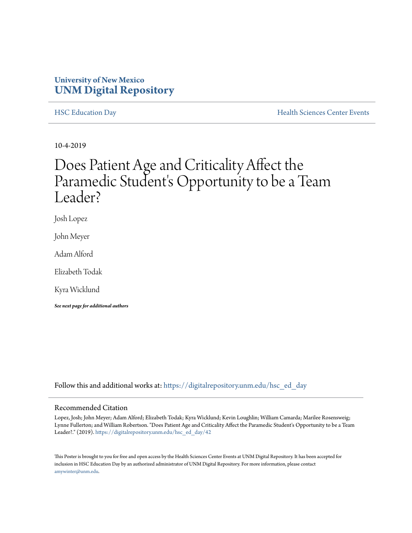# **University of New Mexico [UNM Digital Repository](https://digitalrepository.unm.edu/?utm_source=digitalrepository.unm.edu%2Fhsc_ed_day%2F42&utm_medium=PDF&utm_campaign=PDFCoverPages)**

[HSC Education Day](https://digitalrepository.unm.edu/hsc_ed_day?utm_source=digitalrepository.unm.edu%2Fhsc_ed_day%2F42&utm_medium=PDF&utm_campaign=PDFCoverPages) **[Health Sciences Center Events](https://digitalrepository.unm.edu/hsc_events?utm_source=digitalrepository.unm.edu%2Fhsc_ed_day%2F42&utm_medium=PDF&utm_campaign=PDFCoverPages)** 

10-4-2019

# Does Patient Age and Criticality Affect the Paramedic Student's Opportunity to be a Team Leader?

Josh Lopez

John Meyer

Adam Alford

Elizabeth Todak

Kyra Wicklund

*See next page for additional authors*

Follow this and additional works at: [https://digitalrepository.unm.edu/hsc\\_ed\\_day](https://digitalrepository.unm.edu/hsc_ed_day?utm_source=digitalrepository.unm.edu%2Fhsc_ed_day%2F42&utm_medium=PDF&utm_campaign=PDFCoverPages)

# Recommended Citation

Lopez, Josh; John Meyer; Adam Alford; Elizabeth Todak; Kyra Wicklund; Kevin Loughlin; William Camarda; Marilee Rosensweig; Lynne Fullerton; and William Robertson. "Does Patient Age and Criticality Affect the Paramedic Student's Opportunity to be a Team Leader?." (2019). [https://digitalrepository.unm.edu/hsc\\_ed\\_day/42](https://digitalrepository.unm.edu/hsc_ed_day/42?utm_source=digitalrepository.unm.edu%2Fhsc_ed_day%2F42&utm_medium=PDF&utm_campaign=PDFCoverPages)

This Poster is brought to you for free and open access by the Health Sciences Center Events at UNM Digital Repository. It has been accepted for inclusion in HSC Education Day by an authorized administrator of UNM Digital Repository. For more information, please contact [amywinter@unm.edu](mailto:amywinter@unm.edu).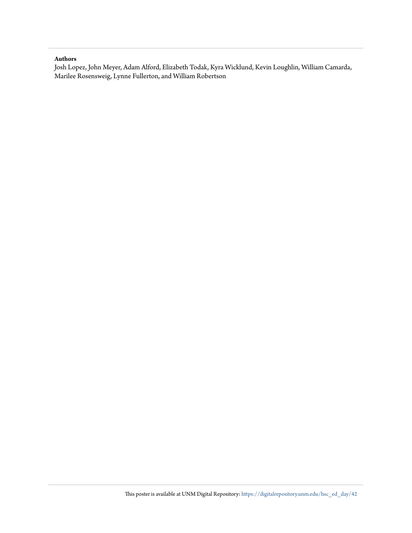## **Authors**

Josh Lopez, John Meyer, Adam Alford, Elizabeth Todak, Kyra Wicklund, Kevin Loughlin, William Camarda, Marilee Rosensweig, Lynne Fullerton, and William Robertson